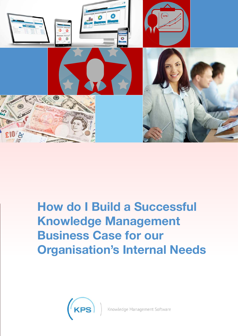

# **How do I Build a Successful Knowledge Management Business Case for our Organisation's Internal Needs**

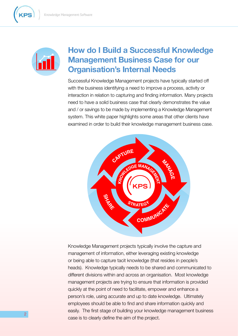

## **How do I Build a Successful Knowledge Management Business Case for our Organisation's Internal Needs**

Successful Knowledge Management projects have typically started off with the business identifying a need to improve a process, activity or interaction in relation to capturing and finding information. Many projects need to have a solid business case that clearly demonstrates the value and / or savings to be made by implementing a Knowledge Management system. This white paper highlights some areas that other clients have examined in order to build their knowledge management business case.



Knowledge Management projects typically involve the capture and management of information, either leveraging existing knowledge or being able to capture tacit knowledge (that resides in people's heads). Knowledge typically needs to be shared and communicated to different divisions within and across an organisation. Most knowledge management projects are trying to ensure that information is provided quickly at the point of need to facilitate, empower and enhance a person's role, using accurate and up to date knowledge. Ultimately employees should be able to find and share information quickly and easily. The first stage of building your knowledge management business case is to clearly define the aim of the project.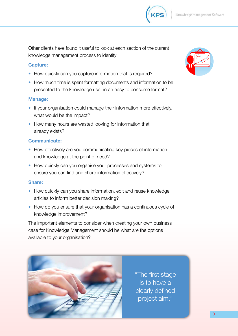

Other clients have found it useful to look at each section of the current knowledge management process to identify:

#### **Capture:**

- How quickly can you capture information that is required?
- How much time is spent formatting documents and information to be presented to the knowledge user in an easy to consume format?

#### **Manage:**

- If your organisation could manage their information more effectively, what would be the impact?
- How many hours are wasted looking for information that already exists?

#### **Communicate:**

- How effectively are you communicating key pieces of information and knowledge at the point of need?
- How quickly can you organise your processes and systems to ensure you can find and share information effectively?

#### **Share:**

- How quickly can you share information, edit and reuse knowledge articles to inform better decision making?
- How do you ensure that your organisation has a continuous cycle of knowledge improvement?

The important elements to consider when creating your own business case for Knowledge Management should be what are the options available to your organisation?



"The first stage is to have a clearly defined project aim."

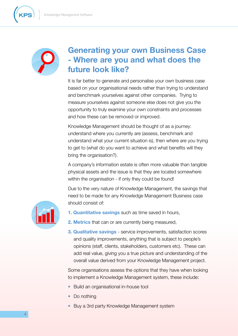



## **Generating your own Business Case - Where are you and what does the future look like?**

It is far better to generate and personalise your own business case based on your organisational needs rather than trying to understand and benchmark yourselves against other companies. Trying to measure yourselves against someone else does not give you the opportunity to truly examine your own constraints and processes and how these can be removed or improved.

Knowledge Management should be thought of as a journey: understand where you currently are (assess, benchmark and understand what your current situation is), then where are you trying to get to (what do you want to achieve and what benefits will they bring the organisation?).

A company's information estate is often more valuable than tangible physical assets and the issue is that they are located somewhere within the organisation - if only they could be found!

Due to the very nature of Knowledge Management, the savings that need to be made for any Knowledge Management Business case should consist of:



- **1. Quantitative savings** such as time saved in hours,
- **2. Metrics** that can or are currently being measured,
- **3. Qualitative savings** service improvements, satisfaction scores and quality improvements, anything that is subject to people's opinions (staff, clients, stakeholders, customers etc). These can add real value, giving you a true picture and understanding of the overall value derived from your Knowledge Management project.

Some organisations assess the options that they have when looking to implement a Knowledge Management system, these include:

- Build an organisational in-house tool
- Do nothing
- Buy a 3rd party Knowledge Management system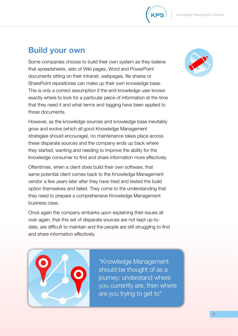

## **Build your own**

Some companies choose to build their own system as they believe that spreadsheets, sets of Wiki pages, Word and PowerPoint documents sitting on their intranet, webpages, file shares or SharePoint repositories can make up their own knowledge base. This is only a correct assumption if the end knowledge user knows exactly where to look for a particular piece of information at the time that they need it and what terms and tagging have been applied to those documents.

However, as the knowledge sources and knowledge base inevitably grow and evolve (which all good Knowledge Management strategies should encourage), no maintenance takes place across these disparate sources and the company ends up back where they started, wanting and needing to improve the ability for the knowledge consumer to find and share information more effectively.

Oftentimes, when a client does build their own software, that same potential client comes back to the Knowledge Management vendor a few years later after they have tried and tested the build option themselves and failed. They come to the understanding that they need to prepare a comprehensive Knowledge Management business case.

Once again the company embarks upon explaining their issues all over again, that this set of disparate sources are not kept up-todate, are difficult to maintain and the people are still struggling to find and share information effectively.



"Knowledge Management should be thought of as a journey; understand where you currently are, then where are you trying to get to"

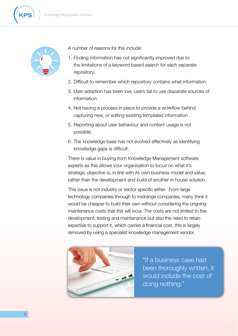



A number of reasons for this include:

- 1. Finding information has not significantly improved due to the limitations of a keyword based search for each separate repository.
- 2. Difficult to remember which repository contains what information.
- 3. User adoption has been low, users fail to use disparate sources of information.
- 4. Not having a process in place to provide a workflow behind capturing new, or editing existing templated information.
- 5. Reporting about user behaviour and content usage is not possible.
- 6. The knowledge base has not evolved effectively as identifying knowledge gaps is difficult.

There is value in buying from Knowledge Management software experts as this allows your organisation to focus on what it's strategic objective is, in line with its own business model and value, rather than the development and build of another in house solution.

This issue is not industry or sector specific either. From large technology companies through to midrange companies, many think it would be cheaper to build their own without considering the ongoing maintenance costs that this will incur. The costs are not limited to the development, testing and maintenance but also the need to retain expertise to support it, which carries a financial cost, this is largely removed by using a specialist knowledge management vendor.



"If a business case had been thoroughly written, it would include the cost of doing nothing."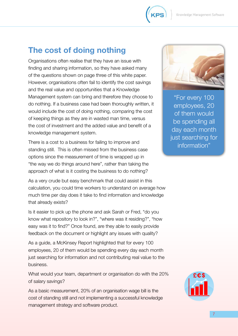

## **The cost of doing nothing**

Organisations often realise that they have an issue with finding and sharing information, so they have asked many of the questions shown on page three of this white paper. However, organisations often fail to identify the cost savings and the real value and opportunities that a Knowledge Management system can bring and therefore they choose to do nothing. If a business case had been thoroughly written, it would include the cost of doing nothing, comparing the cost of keeping things as they are in wasted man time, versus the cost of investment and the added value and benefit of a knowledge management system.

There is a cost to a business for failing to improve and standing still. This is often missed from the business case options since the measurement of time is wrapped up in "the way we do things around here", rather than taking the approach of what is it costing the business to do nothing?

As a very crude but easy benchmark that could assist in this calculation, you could time workers to understand on average how much time per day does it take to find information and knowledge that already exists?

Is it easier to pick up the phone and ask Sarah or Fred, "do you know what repository to look in?", "where was it residing?", "how easy was it to find?" Once found, are they able to easily provide feedback on the document or highlight any issues with quality?

As a guide, a McKinsey Report highlighted that for every 100 employees, 20 of them would be spending every day each month just searching for information and not contributing real value to the business.

What would your team, department or organisation do with the 20% of salary savings?

As a basic measurement and origanisation was of an original in original in the solution was bill in the solution was position was a solution was discussed bill in the solution was discussed bill in the solution was discuss cost of standing still and not implementing a successful knowledge a successful knowledge a successful knowledge

management strategy and software product.



"For every 100 employees, 20 of them would be spending all day each month just searching for information"

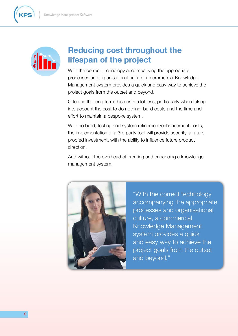

**£ \$ €**



With the correct technology accompanying the appropriate processes and organisational culture, a commercial Knowledge Management system provides a quick and easy way to achieve the project goals from the outset and beyond.

Often, in the long term this costs a lot less, particularly when taking into account the cost to do nothing, build costs and the time and effort to maintain a bespoke system.

With no build, testing and system refinement/enhancement costs, the implementation of a 3rd party tool will provide security, a future proofed investment, with the ability to influence future product direction.

And without the overhead of creating and enhancing a knowledge management system.



"With the correct technology accompanying the appropriate processes and organisational culture, a commercial Knowledge Management system provides a quick and easy way to achieve the project goals from the outset and beyond."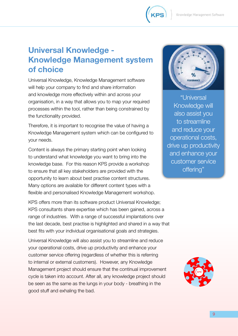

## **Universal Knowledge - Knowledge Management system of choice**

Universal Knowledge, Knowledge Management software will help your company to find and share information and knowledge more effectively within and across your organisation, in a way that allows you to map your required processes within the tool, rather than being constrained by the functionality provided.

Therefore, it is important to recognise the value of having a Knowledge Management system which can be configured to your needs.

Content is always the primary starting point when looking to understand what knowledge you want to bring into the knowledge base. For this reason KPS provide a workshop to ensure that all key stakeholders are provided with the opportunity to learn about best practise content structures. Many options are available for different content types with a flexible and personalised Knowledge Management workshop.

KPS offers more than its software product Universal Knowledge; KPS consultants share expertise which has been gained, across a range of industries. With a range of successful implantations over the last decade, best practise is highlighted and shared in a way that best fits with your individual organisational goals and strategies.

Universal Knowledge will also assist you to streamline and reduce your operational costs, drive up productivity and enhance your customer service offering (regardless of whether this is referring to internal or external customers). However, any Knowledge Management project should ensure that the continual improvement cycle is taken into account. After all, any knowledge project should be seen as the same as the lungs in your body - breathing in the good stuff and exhaling the bad.



"Universal Knowledge will also assist you to streamline and reduce your operational costs, drive up productivity and enhance your customer service offering"

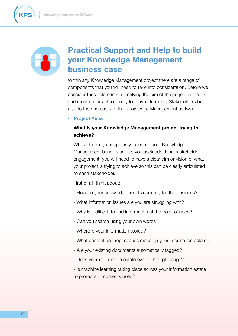

## **Practical Support and Help to build your Knowledge Management business case**

Within any Knowledge Management project there are a range of components that you will need to take into consideration. Before we consider these elements, identifying the aim of the project is the first and most important, not only for buy-in from key Stakeholders but also to the end users of the Knowledge Management software;

**• Project Aims**

### **What is your Knowledge Management project trying to achieve?**

Whilst this may change as you learn about Knowledge Management benefits and as you seek additional stakeholder engagement, you will need to have a clear aim or vision of what your project is trying to achieve so this can be clearly articulated to each stakeholder.

First of all, think about:

- How do your knowledge assets currently fail the business?
- What information issues are you are struggling with?
- Why is it difficult to find information at the point of need?
- Can you search using your own words?
- Where is your information stored?
- What content and repositories make up your information estate?
- Are your existing documents automatically tagged?
- Does your information estate evolve through usage?
- Is machine learning taking place across your information estate to promote documents used?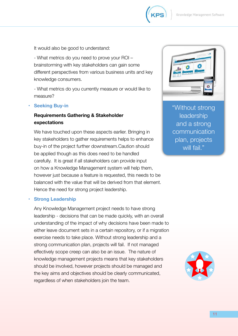

It would also be good to understand:

 - What metrics do you need to prove your ROI – brainstorming with key stakeholders can gain some different perspectives from various business units and key knowledge consumers.

 - What metrics do you currently measure or would like to measure?

**Seeking Buy-in** 

## **Requirements Gathering & Stakeholder expectations**

We have touched upon these aspects earlier. Bringing in key stakeholders to gather requirements helps to enhance buy-in of the project further downstream.Caution should be applied though as this does need to be handled carefully. It is great if all stakeholders can provide input on how a Knowledge Management system will help them, however just because a feature is requested, this needs to be balanced with the value that will be derived from that element. Hence the need for strong project leadership.

#### **Strong Leadership**

Any Knowledge Management project needs to have strong leadership - decisions that can be made quickly, with an overall understanding of the impact of why decisions have been made to either leave document sets in a certain repository, or if a migration exercise needs to take place. Without strong leadership and a strong communication plan, projects will fail. If not managed effectively scope creep can also be an issue. The nature of knowledge management projects means that key stakeholders should be involved, however projects should be managed and the key aims and objectives should be clearly communicated, regardless of when stakeholders join the team.



"Without strong leadership and a strong **communication** plan, projects will fail."

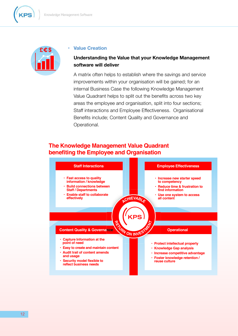



#### **htion**

### **Iding the Value that your Knowledge Management vill deliver**

ten helps to establish where the savings and service improvements within your organisation will be gained; for an internal Business Case the following Knowledge Management Value Quadrant helps to split out the benefits across two key areas the employee and organisation, split into four sections; Staff interactions and Employee Effectiveness. Organisational Benefits include; Content Quality and Governance and Operational.

## **The Knowledge Management Value Quadrant benefiting the Employee and Organisation**

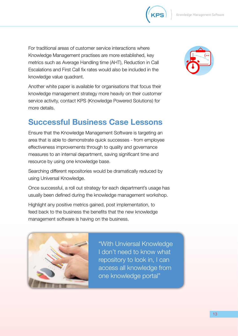

| For tr | Оf                        | ce  | er        |            |
|--------|---------------------------|-----|-----------|------------|
| Know   | me                        | e n | α,        | <b>KPS</b> |
| metri  | rag                       | ıе  | וו חנ     |            |
| Escal  | $\cdot$ C                 | uld | <b>BO</b> |            |
|        | Inouviodas voluo quodront |     |           |            |

knowledge value quadrant.

Another white paper is available for organisations that focus their knowledge management strategy more heavily on their customer service activity, contact KPS (Knowledge Powered Solutions) for more details.

## **Successful Business Case Lessons**

Ensure that the Knowledge Management Software is targeting an area that is able to demonstrate quick successes - from employee effectiveness improvements through to quality and governance measures to an internal department, saving significant time and resource by using one knowledge base.

Searching different repositories would be dramatically reduced by using Universal Knowledge.

Once successful, a roll out strategy for each department's usage has usually been defined during the knowledge management workshop.

Highlight any positive metrics gained, post implementation, to feed back to the business the benefits that the new knowledge management software is having on the business.



"With Unviersal Knowledge I don't need to know what repository to look in, I can access all knowledge from one knowledge portal"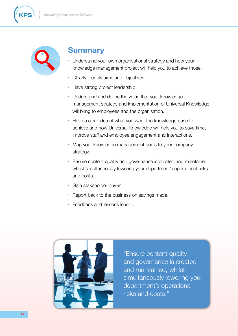





- **Clearly identify aims and objectives.**
- **•**  Have strong project leadership.
- **•**  Understand and define the value that your knowledge management strategy and implementation of Universal Knowledge will bring to employees and the organisation.
- **•**  Have a clear idea of what you want the knowledge base to achieve and how Universal Knowledge will help you to save time, improve staff and employee engagement and Interactions.
- **•**  Map your knowledge management goals to your company strategy.
- **•**  Ensure content quality and governance is created and maintained, whilst simultaneously lowering your department's operational risks and costs.
- **•**  Gain stakeholder buy-in.
- Report back to the business on savings made.
- **•**  Feedback and lessons learnt.



"Ensure content quality and governance is created and maintained, whilst simultaneously lowering your department's operational risks and costs."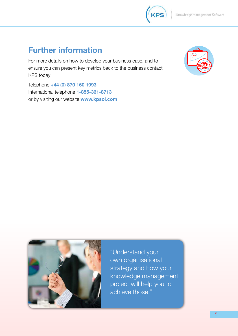## **Further information**

For more details on how to develop your  $\mathbf{B}$ , and to the total to the total to the total to the total to the total to the total to the total to the total to the total to the total to the total to the total to the tota ensure you can present key metrics back to the business contact to the business contact to the business contact to the business contact to the business contact to the business contact to the business contact to the busines KPS today:

Telephone **+44 (0) 870 160 1993** International telephone **1-855-361-8713**  or by visiting our website **www.kpsol.com**







"Understand your own organisational strategy and how your knowledge management project will help you to achieve those."